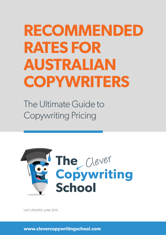# **RECOMMENDED RATES FOR AUSTRALIAN COPYWRITERS**

The Ultimate Guide to Copywriting Pricing



LAST UPDATED: JUNE 2019

**www.clevercopywritingschool.com**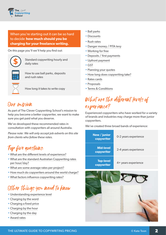

When you're starting out it can be so hard to decide **how much should you be charging for your freelance writing.**

On this page you'll we'll help you find out:



**\$** Standard copywriting hourly and daily rates

How to use ball parks, deposits and rush rates



How long it takes to write copy

### Our mission

As part of The Clever Copywriting School's mission to help you become a better copywriter, we want to make sure you get paid what you deserve.

We've developed these recommended rates in consultation with copywriters all around Australia.

*Please note: We will only accept job adverts on this site from clients who follow these rates.*

# Top five questions:

- • [What are the different levels of experience?](https://www.clevercopywritingschool.com/courses/recommended-rates-2-2/#experience)
- • [What are the standard Australian Copywriting rates](https://www.clevercopywritingschool.com/courses/recommended-rates-2-2/#copywriting-rates)  [per hour/day?](https://www.clevercopywritingschool.com/courses/recommended-rates-2-2/#copywriting-rates)
- • [What are some average rates per project?](https://www.clevercopywritingschool.com/courses/recommended-rates-2-2/#average-rates-per-project)
- • [How much do copywriters around the world charge?](https://www.clevercopywritingschool.com/courses/recommended-rates-2-2/#copywriters-world-rates)
- • [What factors influence copywriting rates?](https://www.clevercopywritingschool.com/courses/recommended-rates-2-2/#influence-copywriting-rates)

# Other things you need to know

- • [Understanding experience level](https://www.clevercopywritingschool.com/courses/recommended-rates-2-2/#experience)
- • [Charging by the word](https://www.clevercopywritingschool.com/courses/recommended-rates-2-2/#perword)
- • [Charging a fixed price](https://www.clevercopywritingschool.com/courses/recommended-rates-2-2/#fixedprice)
- • [Charging by the hour](https://www.clevercopywritingschool.com/courses/recommended-rates-2-2/#perhour)
- • [Charging by the day](https://www.clevercopywritingschool.com/courses/recommended-rates-2-2/#perday)
- • [Award rates](https://www.clevercopywritingschool.com/courses/recommended-rates-2-2/#awardrates)
- • [Ball parks](https://www.clevercopywritingschool.com/courses/recommended-rates-2-2/#ballparks)
- • [Discounts](https://www.clevercopywritingschool.com/courses/recommended-rates-2-2/#discounts)
- • [Rush rates](https://www.clevercopywritingschool.com/courses/recommended-rates-2-2/#discounts)
- • [Danger money / PITA levy](https://www.clevercopywritingschool.com/courses/recommended-rates-2-2/#discounts)
- • [Working for free](https://www.clevercopywritingschool.com/courses/recommended-rates-2-2/#discounts)
- • [Deposits / first payments](https://www.clevercopywritingschool.com/courses/recommended-rates-2-2/#deposits)
- • [Upfront payment](https://www.clevercopywritingschool.com/courses/recommended-rates-2-2/#upfront)
- • [GST](https://www.clevercopywritingschool.com/courses/recommended-rates-2-2/#upfront)
- • [Planning your quotes](https://www.clevercopywritingschool.com/courses/recommended-rates-2-2/#upfront)
- • [How long does copywriting take?](https://www.clevercopywritingschool.com/courses/recommended-rates-2-2/#upfront)
- • [Rates cards](https://www.clevercopywritingschool.com/courses/recommended-rates-2-2/#templates)
- • [Proposals](https://www.clevercopywritingschool.com/courses/recommended-rates-2-2/#templates)
- • [Terms & Conditions](https://www.clevercopywritingschool.com/courses/recommended-rates-2-2/#templates)

### What are the different levels of experience?

Experienced copywriters who have worked for a variety of brands and industries may charge more than junior copywriters.

We've created three broad bands of experience:

| New / junior<br>copywriter     | 0-2 years experience |
|--------------------------------|----------------------|
| <b>Mid-level</b><br>copywriter | 2-4 years experience |
| <b>Top-level</b><br>copywriter | 4+ years experience  |

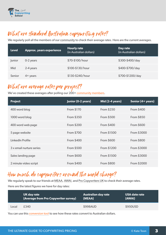

# What are standard Australian copywriting rates?

We regularly poll all the members of our [community](https://www.clevercopywritingschool.com/membership/) to check their average rates. Here are the current averages.

| <b>Level</b> | <b>Approx.</b> years experience | <b>Hourly rate</b><br>(in Australian dollars) | Day rate<br>(in Australian dollars) |
|--------------|---------------------------------|-----------------------------------------------|-------------------------------------|
| Junior       | 0-2 years                       | \$70-\$100/hour                               | \$300-\$400/day                     |
| Mid          | 2-4 years                       | \$100-\$130/hour                              | \$400-\$700/day                     |
| Senior       | $4+$ years                      | \$130-\$240/hour                              | \$700-\$1200/day                    |

# What are average rates per project?

We've created these averages after polling our  $200+$  [community members](https://www.clevercopywritingschool.com/membership/).

| <b>Project</b>           | Junior (0-2 years) | Mid (2-4 years)   | Senior (4+ years) |
|--------------------------|--------------------|-------------------|-------------------|
| 400 word blog            | From \$170         | From \$250        | From \$400        |
| 1000 word blog           | From \$350         | From \$500        | From \$850        |
| 400 word web page        | <b>From \$200</b>  | <b>From \$400</b> | <b>From \$600</b> |
| 5 page website           | From \$700         | From \$1500       | From \$3000       |
| LinkedIn Profile         | <b>From \$400</b>  | From \$600        | <b>From \$800</b> |
| 3 x email nurture series | <b>From \$500</b>  | From \$1200       | From \$3000       |
| Sales landing page       | <b>From \$600</b>  | From \$1500       | From \$3000       |
| 2 minute video script    | <b>From \$400</b>  | <b>From \$800</b> | From \$2000       |

### How much do copywriters around the world charge?

We regularly speak to our friends at [MEAA](https://www.meaa.org/download/recommended-freelance-rates/), [AWAI,](https://www.awai.com/copywriter-rates/) and [Pro Copywriters UK](https://www.procopywriters.co.uk/wp-content/uploads/2018/05/ProCopywriters-Survey2018.pdf) to check their average rates. Here are the latest figures we have for day rates:

|       | UK day rate                            | <b>Australian day rate</b> | USA date rate |
|-------|----------------------------------------|----------------------------|---------------|
|       | (Average from Pro Copywriter survey) ; | (MEAA)                     | (AWAI)        |
| Local | £340                                   | \$998AUD                   | \$950USD      |

You can use this [conversion tool](https://www.xe.com/currencyconverter/) to see how these rates convert to Australian dollars.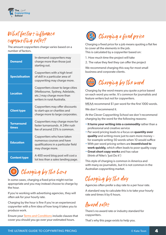

### What factors influence copywriting rates?

The amount copywriters charge varies based on a number of factors.

| <b>Demand</b>              | In-demand copywriters may<br>charge more than those just<br>starting out.                                                        |
|----------------------------|----------------------------------------------------------------------------------------------------------------------------------|
| <b>Specialisation</b>      | Copywriters with a high level<br>of skill in a particular area of<br>copywriting may charge more.                                |
| <b>Location</b>            | Copywriters closer to large cities<br>(Melbourne, Sydney, Adelaide,<br>etc.) may charge more than<br>writers in rural Australia. |
| <b>Client type</b>         | Copywriters may offer discounts<br>to start-ups or charities and<br>charge more to large corporates.                             |
| <b>Turnaround</b><br>times | Copywriters may charge more for<br>faster turnarounds. A 24hr rush<br>fee of around 25% is common.                               |
| <b>Education</b>           | Copywriters who have taken<br>numerous courses and have<br>qualifications in a particular field<br>may charge more.              |
| <b>Content type</b>        | A 400 word blog post will cost a<br>lot less than a sales landing page.                                                          |



In some cases, charging a fixed price might not be appropriate and you may instead choose to charge by the hour.

If you're working with advertising agencies, they will often ask for your hourly rate.

Charging by the hour is fine if you're an experienced copywriter with a firm idea of how long it takes you to produce work.

Ensure your [Terms and Conditions](https://www.clevercopywritingschool.com/product/copywriter-project-terms-and-conditions/) include clauses that cover you should you go over your estimated hours.



Charging a fixed price for a job means quoting a flat fee to cover all the elements in the job. This is calculated by a copywriter based on:

- 1. How much time the project will take
- 2. The value they feel they can offer the project

We recommend charging this way for most small business and corporate clients.



Charging by the word means you quote a price based on each word you write. It's common for journalists and feature writers but not for copywriters.

[MEAA](https://www.meaa.org/resource-package/recommended-freelance-rates/) recommend \$1 per word for the first 1000 words.

We don't recommend it.

At the Clever Copywriting School we don't recommend charging by the word for the following reasons:

- **It turns your writing into a commodity** rather than a professional and creative service
- Per word pricing leads to a focus on **quantity over quality** and writing more just to earn more money – for example writing 50 words when 10 would suffice
- With per word pricing writers are **incentivised to work quickly,** which often leads to poor quality copy
- **Great short copy works** and has value (think of Nike's 'Just Do it')

This style of charging is common in America and with many ex-journalists, but it is not common in the Australian copywriting market.

### Charging by the day

Agencies often prefer a day rate to a per hour rate.

A standard way to calculate this is to take your hourly rate and times it by 6 hours.

# Award rates

There's no award rate or industry standard for copywriters.

That's why this page exists to help you.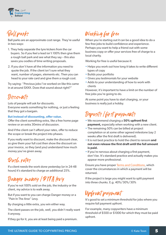

# Ball parks

Ball parks are an approximate cost range. They're useful in two ways:

- 1. They help separate the tyre kickers from the car buyers. So if you feel a lead isn't 100% then give them a rough ball park and see what they say – this also saves you oodles of time writing proposals.
- 2. If you don't have all the information you need to quote the job. If the client isn't sure what they want, number of pages, elements etc. Then you can head to your rate card and give them a rough cost.

Try saying: "Previous jobs I've worked on like this came in at around \$XXX. Does that sound about right?"

### Discounts

Lots of people will ask for discounts.

Everyone wants something for nothing, or just a feeling that they got a bargain.

#### **But instead of discounting, offer value.**

Offer the client something extra, like a free home page review or an extra 30mins of discussion.

And if the client can't afford your rates, offer to reduce the scope or break the project into phases.

If you really want to discount, make the discount clear, so give them your full cost then show the discount on your invoice, so they (and you) understand how much money you've given away.

### Rush rates

If a client needs the work done yesterday (or in 24-48 hours) it's standard to charge an additional 25%.

### Danger money / PITA levy

If you're not 100% sold on the job, the industry or the client, my advice is to walk away.

But if you want to you can charge Danger money or a "Pain In The Arse" Levy.

By charging a little extra, you win either way.

The client passes on the job, well, you didn't really want it anyway.

If they go for it, you are at least being paid a premium.

# Working for free

When you're starting out it can be a good idea to do a few free jobs to build confidence and experience. Perhaps you want to help a friend out with some business copy or offer your services free of charge to a local charity.

Working for free is useful because it:

- Helps you work out how long it takes to write different types of copy
- Builds your portfolio
- Gives you testimonials for your website
- Adds to your understanding of how to work with clients

However, it's important to have a limit on the number of free jobs you're going to do.

At some point you have to start charging, or your business is really just a hobby.

# Deposits / first payments

- We recommend charging a **50% upfront first payment**, especially when working with a new client.
- The remaining 50% can be billed at project completion or at some other agreed milestone (say 2 weeks after the first draft is delivered).
- It is not best practice to hold the client to ransom **and not even release the first draft until the full amount is paid.**
- If you're nervous about charging a first payment, don't be. It's standard practice and actually makes you appear more professional.

Ensure you have proper [Terms and Conditions](https://www.clevercopywritingschool.com/product/copywriter-project-terms-and-conditions/), which cover the circumstances in which a payment will be returned.

If the project is large you might want to split payment into three chunks. E.g. 40%/30%/30%

### Upfront payment

It's good to set a minimum threshold for jobs where you require full payment upfront.

For example, many copywriters have a minimum threshold of \$500 or \$1000 for which they must be paid upfront.